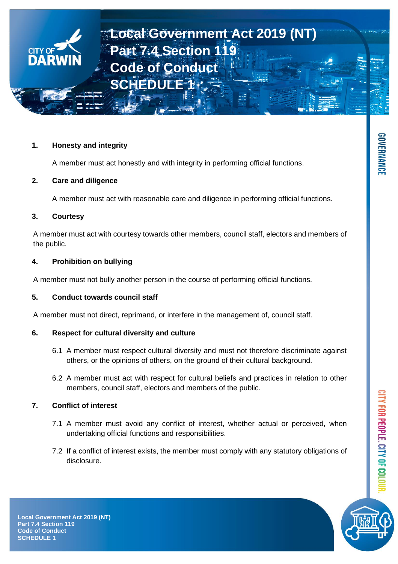## **1. Honesty and integrity**

A member must act honestly and with integrity in performing official functions.

## **2. Care and diligence**

A member must act with reasonable care and diligence in performing official functions.

# **3. Courtesy**

A member must act with courtesy towards other members, council staff, electors and members of the public.

# **4. Prohibition on bullying**

A member must not bully another person in the course of performing official functions.

## **5. Conduct towards council staff**

A member must not direct, reprimand, or interfere in the management of, council staff.

## **6. Respect for cultural diversity and culture**

- 6.1 A member must respect cultural diversity and must not therefore discriminate against others, or the opinions of others, on the ground of their cultural background.
- 6.2 A member must act with respect for cultural beliefs and practices in relation to other members, council staff, electors and members of the public.

# **7. Conflict of interest**

- 7.1 A member must avoid any conflict of interest, whether actual or perceived, when undertaking official functions and responsibilities.
- 7.2 If a conflict of interest exists, the member must comply with any statutory obligations of disclosure.



CITY FOR PEOPLE. CITY OF COL